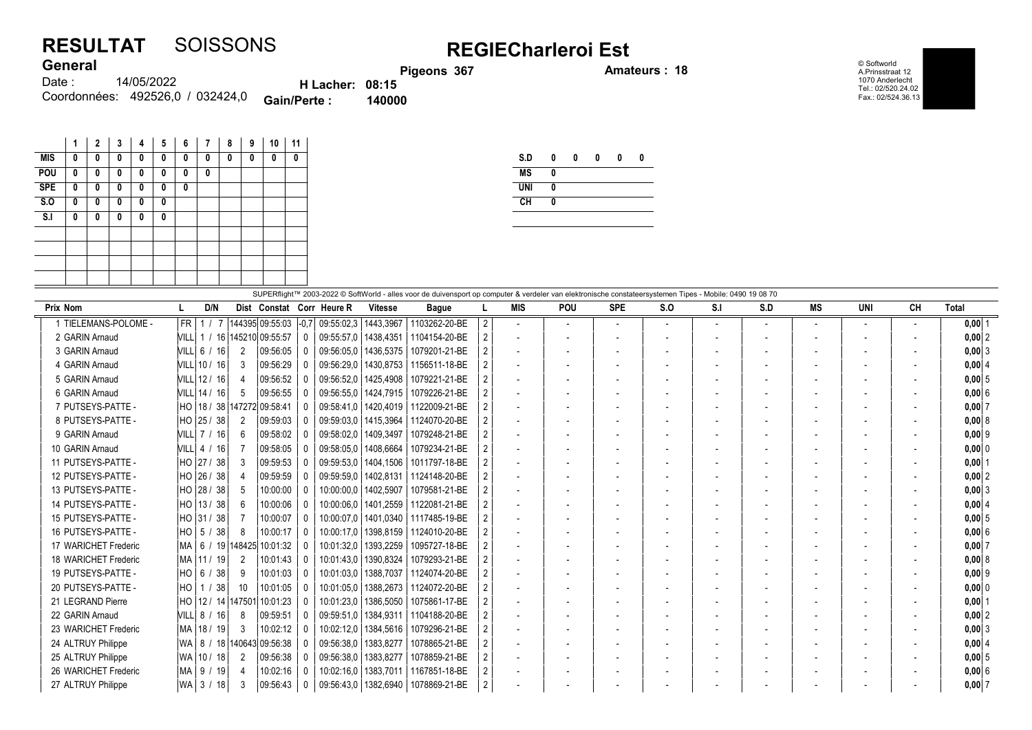## RESULTAT SOISSONS<br>General REGIECharleroi Est General

ons 367 **Amateurs : 18** 

© Softworld A.Prinsstraat 12 1070 Anderlecht Tel.: 02/520.24.02 Fax.: 02/524.36.13

| <b>VUIVIUI</b> |                                  |                        | Pigec  |
|----------------|----------------------------------|------------------------|--------|
| Date :         | 14/05/2022                       | <b>H</b> Lacher: 08:15 |        |
|                | Coordonnées: 492526.0 / 032424.0 | <b>Gain/Perte:</b>     | 140000 |

|            | 1 | 2 | 3 | 4 | 5 | 6 | 7 | 8 | 9 | 10 | 11 |
|------------|---|---|---|---|---|---|---|---|---|----|----|
| <b>MIS</b> | 0 | 0 | 0 | 0 | 0 | 0 | 0 | 0 | 0 | 0  | 0  |
| POU        | 0 | 0 | 0 | 0 | 0 | 0 | 0 |   |   |    |    |
| <b>SPE</b> | 0 | 0 | 0 | 0 | 0 | 0 |   |   |   |    |    |
| S.0        | 0 | 0 | 0 | 0 | 0 |   |   |   |   |    |    |
| S.I        | 0 | 0 | 0 | 0 | 0 |   |   |   |   |    |    |
|            |   |   |   |   |   |   |   |   |   |    |    |
|            |   |   |   |   |   |   |   |   |   |    |    |
|            |   |   |   |   |   |   |   |   |   |    |    |
|            |   |   |   |   |   |   |   |   |   |    |    |
|            |   |   |   |   |   |   |   |   |   |    |    |

| S.D        | 0 | 0 | 0 | 0 | 0 |
|------------|---|---|---|---|---|
| <b>MS</b>  | 0 |   |   |   |   |
| <b>UNI</b> | 0 |   |   |   |   |
| CH         | 0 |   |   |   |   |
|            |   |   |   |   |   |

| SUPERflight™ 2003-2022 © SoftWorld - alles voor de duivensport op computer & verdeler van elektronische constateersystemen Tipes - Mobile: 0490 19 08 70 |                                   |                |                           |  |                        |                        |                                        |                      |                          |            |                          |     |                |     |                          |                          |           |                  |
|----------------------------------------------------------------------------------------------------------------------------------------------------------|-----------------------------------|----------------|---------------------------|--|------------------------|------------------------|----------------------------------------|----------------------|--------------------------|------------|--------------------------|-----|----------------|-----|--------------------------|--------------------------|-----------|------------------|
| <b>Prix Nom</b>                                                                                                                                          | D/N                               |                | Dist Constat Corr Heure R |  |                        | <b>Vitesse</b>         | <b>Bague</b>                           |                      | <b>MIS</b>               | <b>POU</b> | <b>SPE</b>               | S.O | S <sub>1</sub> | S.D | <b>MS</b>                | <b>UNI</b>               | <b>CH</b> | Total            |
| 1 TIELEMANS-POLOME -                                                                                                                                     | FR.                               |                | 144395 09:55:03 -0,7      |  | 09:55:02,3             | 1443,3967              | 1103262-20-BE                          | $\mathbf{2}^{\circ}$ | $\overline{\phantom{a}}$ |            | $\overline{\phantom{a}}$ |     |                |     | $\overline{\phantom{a}}$ | $\overline{\phantom{a}}$ |           | $0,00$ 1         |
| 2 GARIN Arnaud                                                                                                                                           | VILL   1 / 16   145210   09:55:57 |                |                           |  |                        |                        | 09:55:57.0   1438.4351   1104154-20-BE |                      |                          |            |                          |     |                |     |                          |                          |           | $0,00$ 2         |
| 3 GARIN Arnaud                                                                                                                                           | VILL 6 / 16                       | 2              | 09:56:05                  |  |                        |                        | 09:56:05.0   1436.5375   1079201-21-BE |                      |                          |            |                          |     |                |     |                          |                          |           | $0,00$ 3         |
| 4 GARIN Arnaud                                                                                                                                           | VILL 10 / 16                      | 3              | 09:56:29                  |  |                        |                        | 09:56:29.0   1430.8753   1156511-18-BE |                      |                          |            |                          |     |                |     | $\overline{\phantom{a}}$ |                          |           | 0,00   4         |
| 5 GARIN Arnaud                                                                                                                                           | VILL 12 / 16                      |                | 09:56:52                  |  |                        |                        | 09:56:52.0   1425.4908   1079221-21-BE |                      | $\overline{\phantom{a}}$ |            |                          |     |                |     |                          |                          |           | 0,005            |
| 6 GARIN Arnaud                                                                                                                                           | VILL 14 / 16                      | -5             | 09:56:55                  |  |                        |                        | 09:56:55.0   1424.7915   1079226-21-BE |                      |                          |            |                          |     |                |     |                          |                          |           | 0,006            |
| 7 PUTSEYS-PATTE -                                                                                                                                        | HO   18 / 38   147272 09:58:41    |                |                           |  |                        | 09:58:41,0   1420,4019 | 1122009-21-BE                          |                      |                          |            |                          |     |                |     |                          |                          |           | $0,00$ 7         |
| 8 PUTSEYS-PATTE -                                                                                                                                        | HO 25 / 38                        | $\overline{2}$ | 09:59:03                  |  |                        |                        | 09:59:03.0   1415.3964   1124070-20-BE |                      | $\overline{\phantom{a}}$ |            |                          |     |                |     | $\overline{\phantom{a}}$ |                          |           | 0,00   8         |
| 9 GARIN Arnaud                                                                                                                                           | VILL 7 / 16                       | 6              | 09:58:02                  |  |                        | 09:58:02.0   1409.3497 | 1079248-21-BE                          |                      |                          |            |                          |     |                |     |                          |                          |           | $0,00$ 9         |
| 10 GARIN Arnaud                                                                                                                                          | VILL 4 / 16                       |                | 09:58:05                  |  | 09:58:05.0   1408.6664 |                        | 1079234-21-BE                          |                      | $\overline{\phantom{a}}$ |            |                          |     |                |     |                          |                          |           | 0,000            |
| 11 PUTSEYS-PATTE -                                                                                                                                       | HO 27 / 38                        | 3              | 09:59:53                  |  |                        |                        | 09:59:53.0   1404.1506   1011797-18-BE |                      |                          |            |                          |     |                |     |                          |                          |           | $0,00$   $\cdot$ |
| 12 PUTSEYS-PATTE -                                                                                                                                       | HO 26 / 38                        | 4              | 09:59:59                  |  |                        |                        | 09:59:59.0   1402.8131   1124148-20-BE |                      |                          |            |                          |     |                |     |                          |                          |           | $0,00$ 2         |
| 13 PUTSEYS-PATTE -                                                                                                                                       | HO 28 / 38                        | -5             | 10:00:00                  |  |                        | 10:00:00.0   1402.5907 | 1079581-21-BE                          |                      |                          |            |                          |     |                |     |                          |                          |           | $0,00$ 3         |
| 14 PUTSEYS-PATTE -                                                                                                                                       | HO 13/38                          | 6              | 10:00:06                  |  |                        | 10:00:06.0   1401.2559 | 1122081-21-BE                          |                      |                          |            |                          |     |                |     |                          |                          |           | 0,00   4         |
| 15 PUTSEYS-PATTE -                                                                                                                                       | HO 31 / 38                        |                | 10:00:07                  |  | 10:00:07.0             |                        | 1401.0340   1117485-19-BE              |                      | $\overline{\phantom{a}}$ |            |                          |     |                |     | $\overline{\phantom{a}}$ |                          |           | $0,00$ 5         |
| 16 PUTSEYS-PATTE -                                                                                                                                       | HO   5 / 38                       | 8              | 10:00:17                  |  |                        |                        | 10:00:17.0   1398.8159   1124010-20-BE |                      | $\overline{\phantom{a}}$ |            |                          |     |                |     |                          |                          |           | 0,006            |
| 17 WARICHET Frederic                                                                                                                                     | MA   6 / 19  148425  10:01:32     |                |                           |  | 10:01:32,0             | 1393,2259              | 1095727-18-BE                          |                      | $\overline{\phantom{a}}$ |            |                          |     |                |     |                          |                          |           | 0,007            |
| 18 WARICHET Frederic                                                                                                                                     | MA   11 / 19                      | 2              | 10:01:43                  |  |                        | 10:01:43.0   1390.8324 | 1079293-21-BE                          |                      | $\overline{\phantom{a}}$ |            |                          |     |                |     | $\overline{\phantom{a}}$ |                          |           | 0,00   8         |
| 19 PUTSEYS-PATTE -                                                                                                                                       | HO 6 / 38                         | 9              | 10:01:03                  |  |                        |                        | 10:01:03.0   1388.7037   1124074-20-BE |                      |                          |            |                          |     |                |     |                          |                          |           | $0,00$ 9         |
| 20 PUTSEYS-PATTE -                                                                                                                                       | HO   1 / 38                       | 10             | 10:01:05                  |  |                        |                        | 10:01:05.0   1388.2673   1124072-20-BE |                      |                          |            |                          |     |                |     |                          |                          |           | 0,00 0           |
| 21 LEGRAND Pierre                                                                                                                                        | HO 12 / 14 147501                 |                | 10:01:23                  |  | 10:01:23.0             | 1386.5050              | 1075861-17-BE                          |                      |                          |            |                          |     |                |     |                          |                          |           | $0,00$ 1         |
| 22 GARIN Arnaud                                                                                                                                          | VILL   8 / 16                     | 8              | 09:59:51                  |  | 09:59:51.0             | 1384.9311              | 1104188-20-BE                          |                      | $\overline{\phantom{a}}$ |            |                          |     |                |     | $\overline{\phantom{a}}$ |                          |           | $0,00$  2        |
| 23 WARICHET Frederic                                                                                                                                     | MA   18 / 19                      | 3              | 10:02:12                  |  | 10:02:12.0             |                        | 1384,5616   1079296-21-BE              |                      |                          |            |                          |     |                |     |                          |                          |           | $0,00$ 3         |
| 24 ALTRUY Philippe                                                                                                                                       | WA   8 / 18  140643  09:56:38     |                |                           |  | 09:56:38.0             | 1383,8277              | 1078865-21-BE                          |                      | $\overline{\phantom{a}}$ |            |                          |     |                |     |                          |                          |           | 0,00   4         |
| 25 ALTRUY Philippe                                                                                                                                       | WA   10 / 18                      | 2              | 09:56:38                  |  | 09:56:38.0             | 1383.8277              | 1078859-21-BE                          |                      | $\overline{\phantom{a}}$ |            |                          |     |                |     | $\overline{\phantom{a}}$ |                          |           | $0,00$ 5         |
| 26 WARICHET Frederic                                                                                                                                     | MA   9 / 19                       | 4              | 10:02:16                  |  |                        |                        | 10:02:16.0   1383.7011   1167851-18-BE |                      |                          |            |                          |     |                |     |                          |                          |           | 0,006            |
| 27 ALTRUY Philippe                                                                                                                                       | WA 3/18                           | 3              | 09:56:43                  |  |                        |                        | 09:56:43.0   1382.6940   1078869-21-BE |                      |                          |            |                          |     |                |     |                          |                          |           | $0,00$ 7         |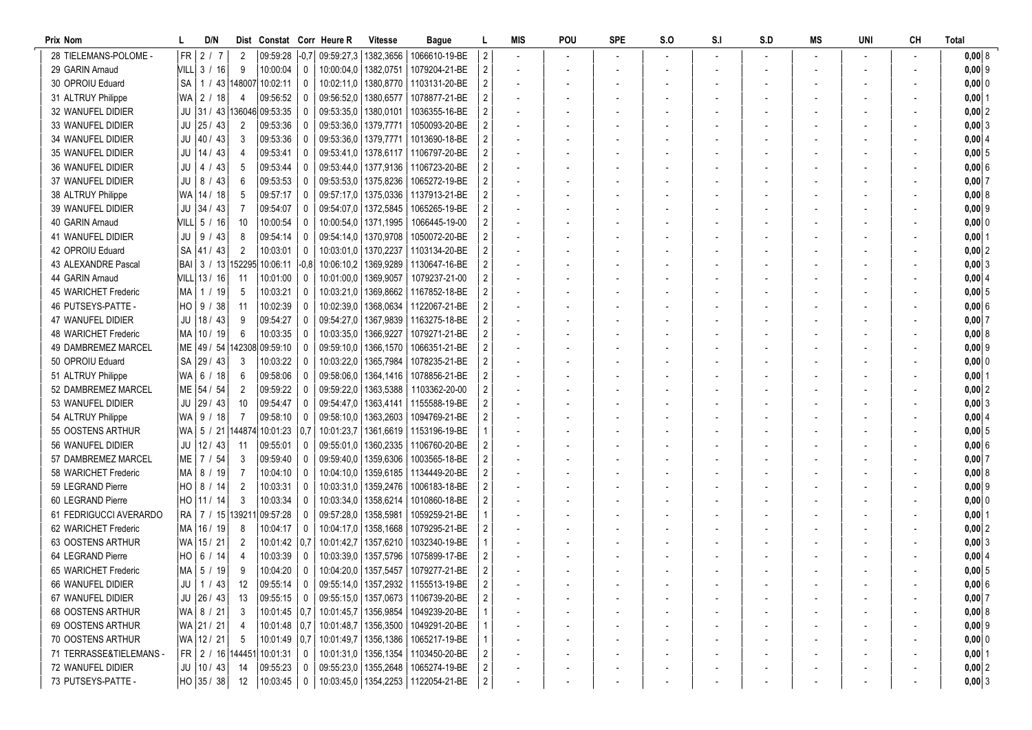| Prix Nom                |           | D/N            |                  |                                  |              | Dist Constat Corr Heure R   | <b>Vitesse</b>         | Bague                                                   |                | MIS                      | POU | <b>SPE</b> | S.O | S <sub>1</sub> | S.D | MS | UNI | <b>CH</b> | Total      |
|-------------------------|-----------|----------------|------------------|----------------------------------|--------------|-----------------------------|------------------------|---------------------------------------------------------|----------------|--------------------------|-----|------------|-----|----------------|-----|----|-----|-----------|------------|
| 28 TIELEMANS-POLOME     | $FR \mid$ | 2/7            | $\overline{2}$   | 09:59:28                         |              | $-0.7$ 09:59:27,3 1382,3656 |                        | 1066610-19-BE                                           | 2              |                          |     |            |     |                |     |    |     |           | 0,008      |
| 29 GARIN Arnaud         |           | VILL 3 / 16    | 9                | 10:00:04                         | $\mathbf 0$  | 10:00:04,0   1382,0751      |                        | 1079204-21-BE                                           |                |                          |     |            |     |                |     |    |     |           | $0,00$ 9   |
| 30 OPROIU Eduard        | SA        |                |                  | 1 / 43 148007 10:02:11           | 0            |                             |                        | 10:02:11.0   1380.8770   1103131-20-BE                  |                | $\overline{\phantom{a}}$ |     |            |     |                |     |    |     |           | $0,000$ 0  |
| 31 ALTRUY Philippe      |           | WA 2 / 18      | $\overline{4}$   | 09:56:52                         | $^{\circ}$   | 09:56:52,0   1380,6577      |                        | 1078877-21-BE                                           |                |                          |     |            |     |                |     |    |     |           | $0,00$  1  |
| 32 WANUFEL DIDIER       |           |                |                  | JU 31 / 43 136046 09:53:35       | 0            | 09:53:35,0   1380,0101      |                        | 1036355-16-BE                                           |                |                          |     |            |     |                |     |    |     |           | $0,00$ 2   |
| 33 WANUFEL DIDIER       |           | $JU$ 25 / 43   | 2                | 09:53:36                         | $^{\circ}$   | 09:53:36.0                  | 1379,7771              | 1050093-20-BE                                           |                |                          |     |            |     |                |     |    |     |           | 0,003      |
| 34 WANUFEL DIDIER       |           | $JU$ 40 / 43   | 3                | 09:53:36                         | 0            | 09:53:36,0 1379,7771        |                        | 1013690-18-BE                                           |                |                          |     |            |     |                |     |    |     |           | 0,00   4   |
| 35 WANUFEL DIDIER       |           | $JU$   14 / 43 |                  | 09:53:41                         | $\Omega$     |                             |                        | 09:53:41.0   1378.6117   1106797-20-BE                  |                |                          |     |            |     |                |     |    |     |           | $0,00$ 5   |
| 36 WANUFEL DIDIER       | JU        | 4 / 43         | 5                | 09:53:44                         | $\Omega$     | 09:53:44,0   1377,9136      |                        | 1106723-20-BE                                           |                |                          |     |            |     |                |     |    |     |           | 0,006      |
| 37 WANUFEL DIDIER       | JU        | 8 / 43         | 6                | 09:53:53                         | $\Omega$     | 09:53:53,0   1375,8236      |                        | 1065272-19-BE                                           |                | $\sim$                   |     |            |     |                |     |    |     |           | $0,00$ 7   |
| 38 ALTRUY Philippe      |           | WA 14 / 18     | 5                | 09:57:17                         | 0            |                             |                        | 09:57:17,0   1375,0336   1137913-21-BE                  |                | $\sim$                   |     |            |     |                |     |    |     |           | 0,008      |
| 39 WANUFEL DIDIER       |           | $JU$ 34 / 43   | 7                | 09:54:07                         | 0            | 09:54:07,0   1372,5845      |                        | 1065265-19-BE                                           |                | $\blacksquare$           |     |            |     |                |     |    |     |           | $0,00$ 9   |
| 40 GARIN Arnaud         |           | VILL 5 / 16    | 10               | 10:00:54                         | 0            | 10:00:54,0   1371,1995      |                        | 1066445-19-00                                           |                | $\sim$                   |     |            |     |                |     |    |     |           | $0,00$ 0   |
| 41 WANUFEL DIDIER       | JU        | 9 / 43         | 8                | 09:54:14                         | 0            | 09:54:14.0   1370.9708      |                        | 1050072-20-BE                                           |                |                          |     |            |     |                |     |    |     |           | $0,00$ 1   |
| 42 OPROIU Eduard        |           | SA   41 / 43   | $\overline{2}$   | 10:03:01                         | 0            | 10:03:01.0   1370.2237      |                        | 1103134-20-BE                                           |                |                          |     |            |     |                |     |    |     |           | 0,00 2     |
| 43 ALEXANDRE Pascal     |           |                |                  | BAI   3 / 13   152295   10:06:11 | -0.81        | 10:06:10,2                  | 1369,9289              | 1130647-16-BE                                           |                |                          |     |            |     |                |     |    |     |           | 0,003      |
| 44 GARIN Arnaud         |           | VILL 13 / 16   | -11              | 10:01:00                         | $\Omega$     | 10:01:00.0   1369.9057      |                        | 1079237-21-00                                           |                |                          |     |            |     |                |     |    |     |           | $0,00$ 4   |
| 45 WARICHET Frederic    |           | MA   1 / 19    | 5                | 10:03:21                         | $\Omega$     | 10:03:21.0   1369.8662      |                        | 1167852-18-BE                                           |                |                          |     |            |     |                |     |    |     |           | 0,005      |
| 46 PUTSEYS-PATTE -      |           | $HO$   9 / 38  | 11               | 10:02:39                         | $\Omega$     |                             |                        | 10:02:39.0   1368.0634   1122067-21-BE                  |                |                          |     |            |     |                |     |    |     |           | 0,006      |
| 47 WANUFEL DIDIER       |           | $JU$ 18 / 43   | 9                | 09:54:27                         | 0            |                             |                        | 09:54:27,0   1367,9839   1163275-18-BE                  |                |                          |     |            |     |                |     |    |     |           | 0,007      |
| 48 WARICHET Frederic    |           | MA   10 / 19   | 6                | 10:03:35                         | 0            | 10:03:35.0   1366.9227      |                        | 1079271-21-BE                                           |                | $\overline{\phantom{a}}$ |     |            |     |                |     |    |     |           | 0,008      |
| 49 DAMBREMEZ MARCEL     |           |                |                  | ME   49 / 54   142308   09:59:10 | $^{\circ}$   | 09:59:10,0   1366,1570      |                        | 1066351-21-BE                                           |                | $\blacksquare$           |     |            |     |                |     |    |     |           | $0,00$ 9   |
| 50 OPROIU Eduard        |           | SA 29 / 43     | 3                | 10:03:22                         | $\Omega$     | 10:03:22,0                  | 1365,7984              | 1078235-21-BE                                           |                |                          |     |            |     |                |     |    |     |           | $0,00$ 0   |
| 51 ALTRUY Philippe      | WA        | 6/18           | 6                | 09:58:06                         | $^{\circ}$   | 09:58:06.0                  | 1364, 1416             | 1078856-21-BE                                           |                |                          |     |            |     |                |     |    |     |           | $0,00$ 1   |
| 52 DAMBREMEZ MARCEL     |           | ME 54 / 54     | 2                | 09:59:22                         | 0            | 09:59:22,0                  | 1363,5388              | 1103362-20-00                                           |                |                          |     |            |     |                |     |    |     |           | $0,00$ 2   |
| 53 WANUFEL DIDIER       | JU        | 29 / 43        | 10               | 09:54:47                         | $\Omega$     | 09:54:47.0                  | 1363,4141              | 1155588-19-BE                                           |                |                          |     |            |     |                |     |    |     |           | 0,003      |
| 54 ALTRUY Philippe      | WA        | 9/18           | 7                | 09:58:10                         | $\Omega$     | 09:58:10,0   1363,2603      |                        | 1094769-21-BE                                           |                |                          |     |            |     |                |     |    |     |           | 0,00   4   |
| 55 OOSTENS ARTHUR       |           |                |                  | WA   5 / 21   144874   10:01:23  | 0.7          |                             |                        | 10:01:23.7   1361.6619   1153196-19-BE                  |                |                          |     |            |     |                |     |    |     |           | $0,00$ 5   |
| 56 WANUFEL DIDIER       |           | $JU$   12 / 43 | -11              | 09:55:01                         | 0            |                             |                        | 09:55:01,0   1360,2335   1106760-20-BE                  |                |                          |     |            |     |                |     |    |     |           | $0,00$ 6   |
| 57 DAMBREMEZ MARCEL     |           | ME 7 / 54      | 3                | 09:59:40                         | $\mathbf{0}$ | 09:59:40,0   1359,6306      |                        | 1003565-18-BE                                           |                |                          |     |            |     |                |     |    |     |           | $0,00$ 7   |
| 58 WARICHET Frederic    | MA I      | 8 / 19         | 7                | 10:04:10                         | 0            |                             |                        | 10:04:10.0   1359.6185   1134449-20-BE                  |                | $\sim$                   |     |            |     |                |     |    |     |           | 0,008      |
| 59 LEGRAND Pierre       | HO        | 8 / 14         | 2                | 10:03:31                         | $^{\circ}$   | 10:03:31.0                  |                        | 1359,2476   1006183-18-BE                               |                |                          |     |            |     |                |     |    |     |           | $0,00$ 9   |
| 60 LEGRAND Pierre       |           | $HO$   11 / 14 | 3                | 10:03:34                         | 0            | 10:03:34,0   1358,6214      |                        | 1010860-18-BE                                           |                | $\overline{\phantom{a}}$ |     |            |     |                |     |    |     |           | $0,00$ 0   |
| 61 FEDRIGUCCI AVERARDO  |           |                | RA 7 / 15 139211 | 09:57:28                         | 0            | 09:57:28,0   1358,5981      |                        | 1059259-21-BE                                           |                |                          |     |            |     |                |     |    |     |           | $0,00$   1 |
| 62 WARICHET Frederic    |           | MA   16 / 19   | 8                | 10:04:17                         | $\Omega$     |                             | 10:04:17,0   1358,1668 | 1079295-21-BE                                           |                |                          |     |            |     |                |     |    |     |           | $0,00$ 2   |
| 63 OOSTENS ARTHUR       |           | WA 15 / 21     | $\overline{2}$   | 10:01:42                         | 0.7          | 10:01:42,7   1357,6210      |                        | 1032340-19-BE                                           |                |                          |     |            |     |                |     |    |     |           | 0,003      |
| 64 LEGRAND Pierre       | HO        | 6 / 14         |                  | 10:03:39                         | $\Omega$     |                             | 10:03:39,0   1357,5796 | 1075899-17-BE                                           |                |                          |     |            |     |                |     |    |     |           | 0,00   4   |
| 65 WARICHET Frederic    |           | MA   5 / 19    | 9                | 10:04:20                         | $\mathbf 0$  |                             |                        | 10:04:20,0   1357,5457   1079277-21-BE                  |                |                          |     |            |     |                |     |    |     |           | 0,005      |
| 66 WANUFEL DIDIER       |           | $JU$   1 / 43  | 12               | 09:55:14 0                       |              |                             |                        | 09:55:14,0   1357,2932   1155513-19-BE                  | $\overline{2}$ |                          |     |            |     |                |     |    |     |           | $0,00$ 6   |
| 67 WANUFEL DIDIER       |           | $JU$   26 / 43 | - 13             | 09:55:15                         | $\mathbf 0$  |                             |                        | 09:55:15,0   1357,0673   1106739-20-BE                  |                |                          |     |            |     |                |     |    |     |           | 0,007      |
| 68 OOSTENS ARTHUR       |           | WA 8 / 21      | 3                |                                  |              |                             |                        | 10:01:45   0,7   10:01:45,7   1356,9854   1049239-20-BE |                |                          |     |            |     |                |     |    |     |           | 0,008      |
| 69 OOSTENS ARTHUR       |           | WA 21 / 21     |                  |                                  |              |                             |                        | 10:01:48   0,7   10:01:48,7   1356,3500   1049291-20-BE |                |                          |     |            |     |                |     |    |     |           | $0,00$ 9   |
| 70 OOSTENS ARTHUR       |           | WA 12 / 21     | -5               |                                  |              |                             |                        | 10:01:49   0,7   10:01:49,7   1356,1386   1065217-19-BE |                |                          |     |            |     |                |     |    |     |           | $0,00$ 0   |
| 71 TERRASSE&TIELEMANS - |           |                |                  | FR 2 / 16 144451 10:01:31        | 0            |                             |                        | 10:01:31,0   1356,1354   1103450-20-BE                  |                |                          |     |            |     |                |     |    |     |           | $0,00$  1  |
| 72 WANUFEL DIDIER       |           | $JU$   10 / 43 | 14               | 09:55:23                         | 0            |                             |                        | 09:55:23,0   1355,2648   1065274-19-BE                  |                |                          |     |            |     |                |     |    |     |           | $0,00$ 2   |
| 73 PUTSEYS-PATTE -      |           | $HO$ 35 / 38   | 12               | $10:03:45$ 0                     |              |                             |                        | 10:03:45,0   1354,2253   1122054-21-BE                  | $\overline{2}$ |                          |     |            |     |                |     |    |     |           | $0,00$ 3   |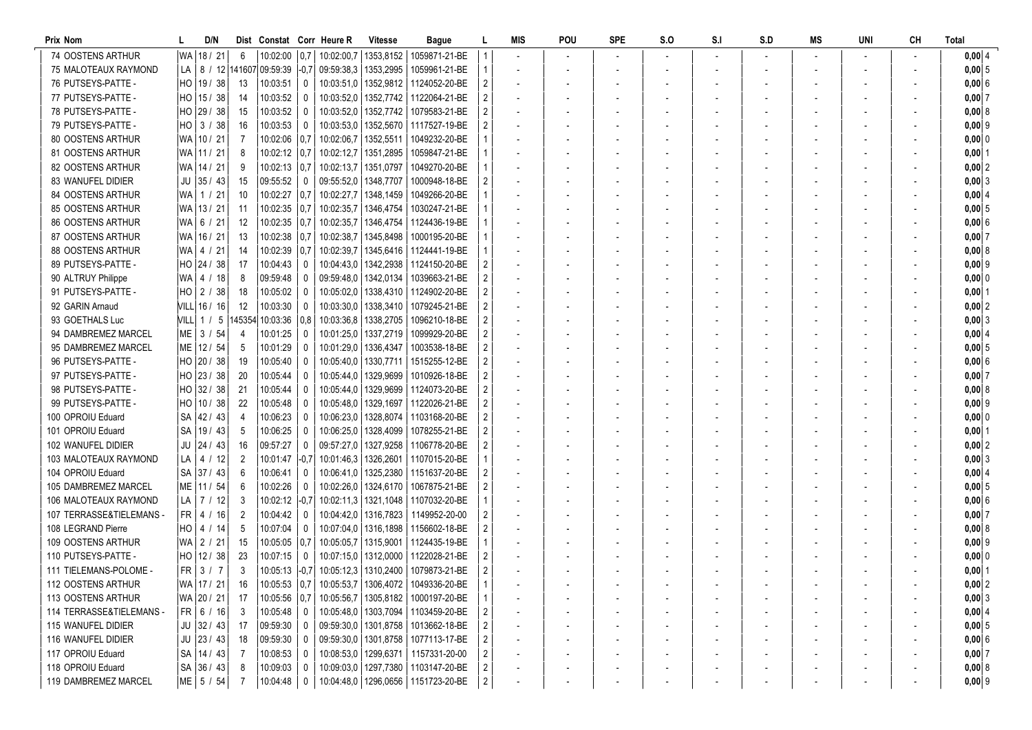| Prix Nom                 |    | D/N               |                |                            |              | Dist Constat Corr Heure R | <b>Vitesse</b>         | Bague                                                               |                | MIS                      | POU | <b>SPE</b> | S.O | S <sub>1</sub> | S.D | MS | UNI | <b>CH</b> | Total          |
|--------------------------|----|-------------------|----------------|----------------------------|--------------|---------------------------|------------------------|---------------------------------------------------------------------|----------------|--------------------------|-----|------------|-----|----------------|-----|----|-----|-----------|----------------|
| 74 OOSTENS ARTHUR        |    | WA 18 / 21        | 6              | 10:02:00                   |              | $0.7$   10:02:00.7        |                        | 1353.8152 1059871-21-BE                                             |                |                          |     |            |     |                |     |    |     |           | $0,00$ 4       |
| 75 MALOTEAUX RAYMOND     |    |                   |                |                            |              |                           |                        | LA   8 / 12 141607 09:59:39 -0.7 09:59:38.3 1353.2995 1059961-21-BE |                |                          |     |            |     |                |     |    |     |           | $0,00 \vert 5$ |
| 76 PUTSEYS-PATTE -       |    | HO   19 / 38      | 13             | 10:03:51                   | 0            |                           |                        | 10:03:51.0   1352.9812   1124052-20-BE                              |                |                          |     |            |     |                |     |    |     |           | 0,00 6         |
| 77 PUTSEYS-PATTE -       | HO | 15 / 38           | 14             | 10:03:52                   | 0            |                           |                        | 10:03:52.0   1352.7742   1122064-21-BE                              |                |                          |     |            |     |                |     |    |     |           | $0,00$ 7       |
| 78 PUTSEYS-PATTE -       |    | HO 29 / 38        | 15             | 10:03:52                   | $^{\circ}$   |                           |                        | 10:03:52.0   1352.7742   1079583-21-BE                              |                |                          |     |            |     |                |     |    |     |           | 0,008          |
| 79 PUTSEYS-PATTE -       |    | $HO$ 3 / 38       | 16             | 10:03:53                   | 0            | 10:03:53,0                |                        | 1352,5670 1117527-19-BE                                             |                |                          |     |            |     |                |     |    |     |           | 0,00   9       |
| 80 OOSTENS ARTHUR        |    | WA 10 / 21        |                | 10:02:06                   | 0.7          | 10:02:06.7                | 1352,5511              | 1049232-20-BE                                                       |                |                          |     |            |     |                |     |    |     |           | $0,00$ 0       |
| 81 OOSTENS ARTHUR        |    | WA   11 / 21      | 8              | 10:02:12                   | 0.7          | 10:02:12,7                | 1351,2895              | 1059847-21-BE                                                       |                |                          |     |            |     |                |     |    |     |           | $0,00$  1      |
| 82 OOSTENS ARTHUR        |    | WA 14 / 21        | 9              | 10:02:13                   | 0.7          | 10:02:13,7                | 1351,0797              | 1049270-20-BE                                                       |                |                          |     |            |     |                |     |    |     |           | $0,00$ 2       |
| 83 WANUFEL DIDIER        |    | $JU$ 35 / 43      | 15             | 09:55:52                   | $\Omega$     | 09:55:52,0   1348,7707    |                        | 1000948-18-BE                                                       |                |                          |     |            |     |                |     |    |     |           | 0,003          |
| <b>84 OOSTENS ARTHUR</b> |    | WA 1 / 21         | 10             | 10:02:27                   | 0.7          | 10:02:27,7   1348,1459    |                        | 1049266-20-BE                                                       |                |                          |     |            |     |                |     |    |     |           | 0,00   4       |
| 85 OOSTENS ARTHUR        |    | WA 13 / 21        | 11             | 10:02:35                   | 0.7          |                           | 10:02:35,7   1346,4754 | 1030247-21-BE                                                       |                | $\overline{\phantom{a}}$ |     |            |     |                |     |    |     |           | $0,00$ 5       |
| 86 OOSTENS ARTHUR        |    | WA 6 / 21         | 12             | 10:02:35                   | 0.7          |                           |                        | 10:02:35,7   1346,4754   1124436-19-BE                              |                | $\overline{a}$           |     |            |     |                |     |    |     |           | 0,006          |
| 87 OOSTENS ARTHUR        |    | WA 16 / 21        | 13             | 10:02:38                   | 0.7          | 10:02:38,7                | 1345,8498              | 1000195-20-BE                                                       |                |                          |     |            |     |                |     |    |     |           | $0,00$ 7       |
| 88 OOSTENS ARTHUR        |    | WA   4 / 21       | 14             | 10:02:39                   | 0.7          | 10:02:39.7                |                        | 1345,6416   1124441-19-BE                                           |                |                          |     |            |     |                |     |    |     |           | 0,0018         |
| 89 PUTSEYS-PATTE -       |    | HO 24 / 38        | 17             | 10:04:43                   | $\Omega$     | 10:04:43,0                |                        | 1342,2938   1124150-20-BE                                           |                |                          |     |            |     |                |     |    |     |           | $0,00$ 9       |
| 90 ALTRUY Philippe       |    | WA   4 / 18       | 8              | 09:59:48                   | $\Omega$     |                           | 09:59:48.0   1342.0134 | 1039663-21-BE                                                       |                |                          |     |            |     |                |     |    |     |           | 0,00 0         |
| 91 PUTSEYS-PATTE -       |    | $HO$ 2 / 38       | 18             | 10:05:02                   | $^{\circ}$   | 10:05:02.0                |                        | 1338.4310 1124902-20-BE                                             |                |                          |     |            |     |                |     |    |     |           | $0,00$ 1       |
| 92 GARIN Arnaud          |    | VILL 16 / 16      | 12             | 10:03:30                   | $\Omega$     |                           |                        | 10:03:30.0   1338.3410   1079245-21-BE                              |                |                          |     |            |     |                |     |    |     |           | $0,00$ 2       |
| 93 GOETHALS Luc          |    |                   |                | VILL 1 / 5 145354 10:03:36 | 0,8          |                           |                        | 10:03:36,8   1338,2705   1096210-18-BE                              |                |                          |     |            |     |                |     |    |     |           | $0,00$ 3       |
| 94 DAMBREMEZ MARCEL      |    | $ME \mid 3 / 54$  | 4              | 10:01:25                   | 0            |                           |                        | 10:01:25,0   1337,2719   1099929-20-BE                              |                | $\overline{\phantom{a}}$ |     |            |     |                |     |    |     |           | $0,00$ 4       |
| 95 DAMBREMEZ MARCEL      |    | ME   12 / 54      | 5              | 10:01:29                   | 0            |                           | 10:01:29,0   1336,4347 | 1003538-18-BE                                                       |                | $\overline{\phantom{a}}$ |     |            |     |                |     |    |     |           | $0,00$ 5       |
| 96 PUTSEYS-PATTE -       |    | HO 20 / 38        | 19             | 10:05:40                   | $^{\circ}$   |                           |                        | 10:05:40.0   1330.7711   1515255-12-BE                              |                |                          |     |            |     |                |     |    |     |           | 0,006          |
| 97 PUTSEYS-PATTE -       | HO | 23/38             | 20             | 10:05:44                   | 0            | 10:05:44.0                | 1329,9699              | 1010926-18-BE                                                       |                |                          |     |            |     |                |     |    |     |           | 0,0017         |
| 98 PUTSEYS-PATTE -       |    | HO 32 / 38        | 21             | 10:05:44                   | $\Omega$     | 10:05:44.0                | 1329,9699              | 1124073-20-BE                                                       |                |                          |     |            |     |                |     |    |     |           | 0,008          |
| 99 PUTSEYS-PATTE -       |    | HO   10 / 38      | 22             | 10:05:48                   | 0            |                           | 10:05:48.0   1329.1697 | 1122026-21-BE                                                       |                |                          |     |            |     |                |     |    |     |           | $0,00$ 9       |
| 100 OPROIU Eduard        |    | SA 42 / 43        | 4              | 10:06:23                   | $\Omega$     | 10:06:23.0                |                        | 1328,8074   1103168-20-BE                                           |                |                          |     |            |     |                |     |    |     |           | $0,00$ 0       |
| 101 OPROIU Eduard        |    | SA   19 / 43      | 5              | 10:06:25                   | $\Omega$     |                           | 10:06:25.0   1328.4099 | 1078255-21-BE                                                       |                |                          |     |            |     |                |     |    |     |           | $0,00$  1      |
| 102 WANUFEL DIDIER       |    | $JU$ 24 / 43      | 16             | 09:57:27                   | $\mathbf 0$  |                           |                        | 09:57:27,0   1327,9258   1106778-20-BE                              |                |                          |     |            |     |                |     |    |     |           | $0,00$ 2       |
| 103 MALOTEAUX RAYMOND    |    | $LA$   4 / 12     | $\overline{2}$ | 10:01:47                   | $ -0,7 $     |                           |                        | 10:01:46.3   1326.2601   1107015-20-BE                              |                |                          |     |            |     |                |     |    |     |           | 0,00 3         |
| 104 OPROIU Eduard        |    | SA 37 / 43        | 6              | 10:06:41                   | 0            |                           |                        | 10:06:41.0   1325.2380   1151637-20-BE                              |                | $\overline{\phantom{a}}$ |     |            |     |                |     |    |     |           | 0,0014         |
| 105 DAMBREMEZ MARCEL     |    | ME   11 / 54      | 6              | 10:02:26                   | 0            |                           | 10:02:26.0   1324.6170 | 1067875-21-BE                                                       |                |                          |     |            |     |                |     |    |     |           | $0,00$ 5       |
| 106 MALOTEAUX RAYMOND    |    | $LA$   7 / 12     | 3              | 10:02:12                   | -0.7         |                           |                        | 10:02:11,3   1321,1048   1107032-20-BE                              |                |                          |     |            |     |                |     |    |     |           | 0,00 6         |
| 107 TERRASSE&TIELEMANS - |    | $FR$   4 / 16     | 2              | 10:04:42                   | 0            |                           | 10:04:42,0   1316,7823 | 1149952-20-00                                                       |                |                          |     |            |     |                |     |    |     |           | 0,0017         |
| 108 LEGRAND Pierre       |    | $HO$   4 / 14     | 5              | 10:07:04                   | $\Omega$     |                           |                        | 10:07:04.0   1316,1898   1156602-18-BE                              |                |                          |     |            |     |                |     |    |     |           | 0,008          |
| 109 OOSTENS ARTHUR       |    | WA 2 / 21         | 15             | 10:05:05                   | 0.7          |                           |                        | 10:05:05,7   1315,9001   1124435-19-BE                              |                |                          |     |            |     |                |     |    |     |           | $0,00$ 9       |
| 110 PUTSEYS-PATTE -      |    | HO   12 / 38      | 23             | 10:07:15                   | $\Omega$     |                           |                        | 10:07:15.0   1312.0000   1122028-21-BE                              |                |                          |     |            |     |                |     |    |     |           | $0,00$ 0       |
| 111 TIELEMANS-POLOME -   |    | $FR$   3 / 7      | 3              |                            |              |                           |                        |                                                                     |                |                          |     |            |     |                |     |    |     |           | $0,00$ 1       |
| 112 OOSTENS ARTHUR       |    | WA   17 / 21   16 |                |                            |              |                           |                        | 10:05:53   0,7   10:05:53,7   1306,4072   1049336-20-BE             |                |                          |     |            |     |                |     |    |     |           | $0,00$ 2       |
| 113 OOSTENS ARTHUR       |    | WA 20 / 21        | -17            | $10:05:56$   0,7           |              |                           |                        | 10:05:56,7   1305,8182   1000197-20-BE                              |                |                          |     |            |     |                |     |    |     |           | 0,003          |
| 114 TERRASSE&TIELEMANS - |    | FR   6 / 16       | $\mathbf{3}$   | 10:05:48                   | 0            |                           |                        | 10:05:48,0   1303,7094   1103459-20-BE                              |                |                          |     |            |     |                |     |    |     |           | 0,004          |
| 115 WANUFEL DIDIER       |    | $JU$ 32 / 43      | 17             | 09:59:30                   | 0            |                           |                        | 09:59:30,0   1301,8758   1013662-18-BE                              |                |                          |     |            |     |                |     |    |     |           | 0,005          |
| 116 WANUFEL DIDIER       |    | $JU$ 23 / 43      | 18             | 09:59:30                   | $\bf{0}$     |                           |                        | 09:59:30,0   1301,8758   1077113-17-BE                              |                |                          |     |            |     |                |     |    |     |           | 0,006          |
| 117 OPROIU Eduard        |    | SA   14 / 43      |                | 10:08:53                   | 0            |                           |                        | 10:08:53,0   1299,6371   1157331-20-00                              |                |                          |     |            |     |                |     |    |     |           | 0,007          |
| 118 OPROIU Eduard        |    | SA 36 / 43        | 8              | 10:09:03                   | 0            |                           |                        | 10:09:03,0   1297,7380   1103147-20-BE                              |                |                          |     |            |     |                |     |    |     |           | 0,008          |
| 119 DAMBREMEZ MARCEL     |    | $ME$ 5 / 54       |                | 10:04:48                   | $\mathbf{0}$ |                           |                        | 10:04:48,0   1296,0656   1151723-20-BE                              | $\overline{2}$ |                          |     |            |     |                |     |    |     |           | $0,00$ 9       |